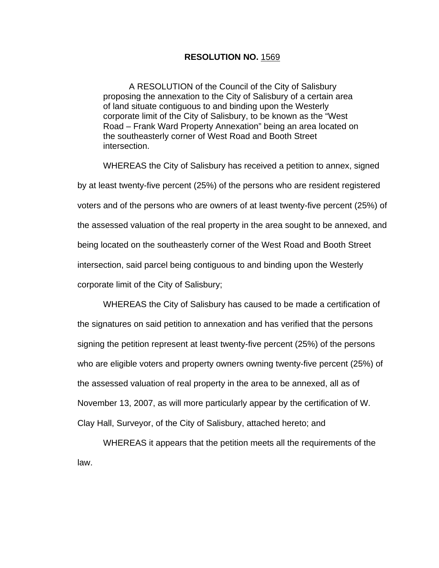## **RESOLUTION NO.** 1569

A RESOLUTION of the Council of the City of Salisbury proposing the annexation to the City of Salisbury of a certain area of land situate contiguous to and binding upon the Westerly corporate limit of the City of Salisbury, to be known as the "West Road – Frank Ward Property Annexation" being an area located on the southeasterly corner of West Road and Booth Street intersection.

WHEREAS the City of Salisbury has received a petition to annex, signed by at least twenty-five percent (25%) of the persons who are resident registered voters and of the persons who are owners of at least twenty-five percent (25%) of the assessed valuation of the real property in the area sought to be annexed, and being located on the southeasterly corner of the West Road and Booth Street intersection, said parcel being contiguous to and binding upon the Westerly corporate limit of the City of Salisbury;

WHEREAS the City of Salisbury has caused to be made a certification of the signatures on said petition to annexation and has verified that the persons signing the petition represent at least twenty-five percent (25%) of the persons who are eligible voters and property owners owning twenty-five percent (25%) of the assessed valuation of real property in the area to be annexed, all as of November 13, 2007, as will more particularly appear by the certification of W. Clay Hall, Surveyor, of the City of Salisbury, attached hereto; and

WHEREAS it appears that the petition meets all the requirements of the law.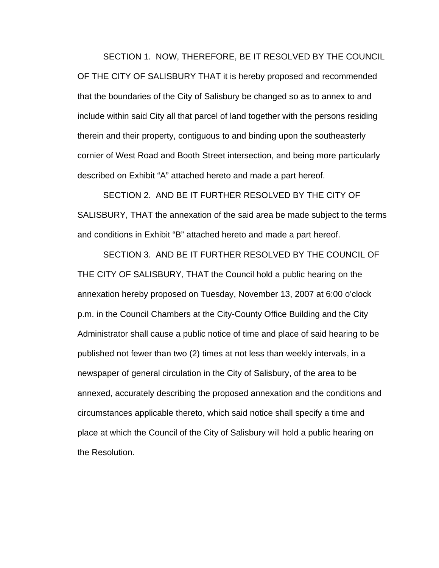SECTION 1. NOW, THEREFORE, BE IT RESOLVED BY THE COUNCIL OF THE CITY OF SALISBURY THAT it is hereby proposed and recommended that the boundaries of the City of Salisbury be changed so as to annex to and include within said City all that parcel of land together with the persons residing therein and their property, contiguous to and binding upon the southeasterly cornier of West Road and Booth Street intersection, and being more particularly described on Exhibit "A" attached hereto and made a part hereof.

SECTION 2. AND BE IT FURTHER RESOLVED BY THE CITY OF SALISBURY, THAT the annexation of the said area be made subject to the terms and conditions in Exhibit "B" attached hereto and made a part hereof.

SECTION 3. AND BE IT FURTHER RESOLVED BY THE COUNCIL OF THE CITY OF SALISBURY, THAT the Council hold a public hearing on the annexation hereby proposed on Tuesday, November 13, 2007 at 6:00 o'clock p.m. in the Council Chambers at the City-County Office Building and the City Administrator shall cause a public notice of time and place of said hearing to be published not fewer than two (2) times at not less than weekly intervals, in a newspaper of general circulation in the City of Salisbury, of the area to be annexed, accurately describing the proposed annexation and the conditions and circumstances applicable thereto, which said notice shall specify a time and place at which the Council of the City of Salisbury will hold a public hearing on the Resolution.